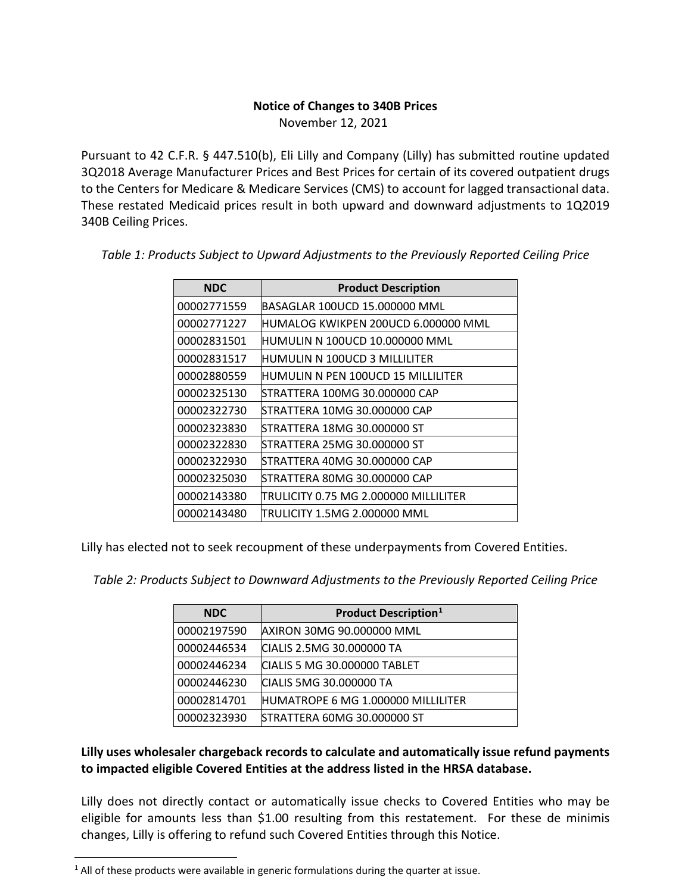## **Notice of Changes to 340B Prices**

November 12, 2021

Pursuant to 42 C.F.R. § 447.510(b), Eli Lilly and Company (Lilly) has submitted routine updated 3Q2018 Average Manufacturer Prices and Best Prices for certain of its covered outpatient drugs to the Centers for Medicare & Medicare Services (CMS) to account for lagged transactional data. These restated Medicaid prices result in both upward and downward adjustments to 1Q2019 340B Ceiling Prices.

| <b>NDC</b>  | <b>Product Description</b>            |
|-------------|---------------------------------------|
| 00002771559 | BASAGLAR 100UCD 15.000000 MML         |
| 00002771227 | IHUMALOG KWIKPEN 200UCD 6.000000 MML  |
| 00002831501 | HUMULIN N 100UCD 10.000000 MML        |
| 00002831517 | HUMULIN N 100UCD 3 MILLILITER         |
| 00002880559 | HUMULIN N PEN 100UCD 15 MILLILITER    |
| 00002325130 | STRATTERA 100MG 30.000000 CAP         |
| 00002322730 | STRATTERA 10MG 30.000000 CAP          |
| 00002323830 | STRATTERA 18MG 30.000000 ST           |
| 00002322830 | STRATTERA 25MG 30.000000 ST           |
| 00002322930 | STRATTERA 40MG 30.000000 CAP          |
| 00002325030 | STRATTERA 80MG 30.000000 CAP          |
| 00002143380 | TRULICITY 0.75 MG 2.000000 MILLILITER |
| 00002143480 | TRULICITY 1.5MG 2.000000 MML          |

*Table 1: Products Subject to Upward Adjustments to the Previously Reported Ceiling Price*

Lilly has elected not to seek recoupment of these underpayments from Covered Entities.

*Table 2: Products Subject to Downward Adjustments to the Previously Reported Ceiling Price*

| <b>NDC</b>  | <b>Product Description</b> <sup>1</sup> |
|-------------|-----------------------------------------|
| 00002197590 | AXIRON 30MG 90.000000 MML               |
| 00002446534 | CIALIS 2.5MG 30.000000 TA               |
| 00002446234 | CIALIS 5 MG 30.000000 TABLET            |
| 00002446230 | CIALIS 5MG 30.000000 TA                 |
| 00002814701 | HUMATROPE 6 MG 1.000000 MILLILITER      |
| 00002323930 | STRATTERA 60MG 30.000000 ST             |

## **Lilly uses wholesaler chargeback records to calculate and automatically issue refund payments to impacted eligible Covered Entities at the address listed in the HRSA database.**

Lilly does not directly contact or automatically issue checks to Covered Entities who may be eligible for amounts less than \$1.00 resulting from this restatement. For these de minimis changes, Lilly is offering to refund such Covered Entities through this Notice.

<span id="page-0-0"></span> $<sup>1</sup>$  All of these products were available in generic formulations during the quarter at issue.</sup>